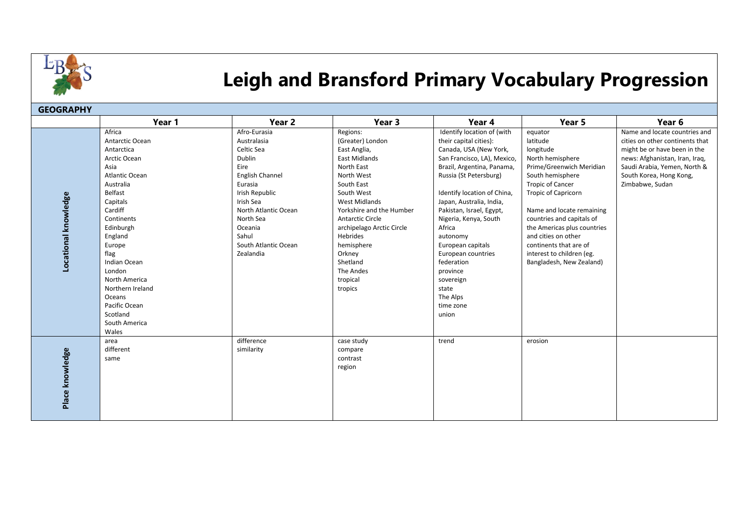

## **Leigh and Bransford Primary Vocabulary Progression**

| <b>GEOGRAPHY</b>     |                                                                                                                                                                                                                                                                                                                          |                                                                                                                                                                                                                        |                                                                                                                                                                                                                                                                                                                       |                                                                                                                                                                                                                                                                                                                                                                                                                                          |                                                                                                                                                                                                                                                                                                                                                                  |                                                                                                                                                                                                                  |  |  |
|----------------------|--------------------------------------------------------------------------------------------------------------------------------------------------------------------------------------------------------------------------------------------------------------------------------------------------------------------------|------------------------------------------------------------------------------------------------------------------------------------------------------------------------------------------------------------------------|-----------------------------------------------------------------------------------------------------------------------------------------------------------------------------------------------------------------------------------------------------------------------------------------------------------------------|------------------------------------------------------------------------------------------------------------------------------------------------------------------------------------------------------------------------------------------------------------------------------------------------------------------------------------------------------------------------------------------------------------------------------------------|------------------------------------------------------------------------------------------------------------------------------------------------------------------------------------------------------------------------------------------------------------------------------------------------------------------------------------------------------------------|------------------------------------------------------------------------------------------------------------------------------------------------------------------------------------------------------------------|--|--|
|                      | Year 1                                                                                                                                                                                                                                                                                                                   | Year <sub>2</sub>                                                                                                                                                                                                      | Year 3                                                                                                                                                                                                                                                                                                                | Year 4                                                                                                                                                                                                                                                                                                                                                                                                                                   | Year 5                                                                                                                                                                                                                                                                                                                                                           | Year 6                                                                                                                                                                                                           |  |  |
| Locational knowledge | Africa<br>Antarctic Ocean<br>Antarctica<br>Arctic Ocean<br>Asia<br>Atlantic Ocean<br>Australia<br>Belfast<br>Capitals<br>Cardiff<br>Continents<br>Edinburgh<br>England<br>Europe<br>flag<br>Indian Ocean<br>London<br>North America<br>Northern Ireland<br>Oceans<br>Pacific Ocean<br>Scotland<br>South America<br>Wales | Afro-Eurasia<br>Australasia<br>Celtic Sea<br>Dublin<br>Eire<br>English Channel<br>Eurasia<br>Irish Republic<br>Irish Sea<br>North Atlantic Ocean<br>North Sea<br>Oceania<br>Sahul<br>South Atlantic Ocean<br>Zealandia | Regions:<br>(Greater) London<br>East Anglia,<br>East Midlands<br>North East<br>North West<br>South East<br>South West<br><b>West Midlands</b><br>Yorkshire and the Humber<br><b>Antarctic Circle</b><br>archipelago Arctic Circle<br>Hebrides<br>hemisphere<br>Orkney<br>Shetland<br>The Andes<br>tropical<br>tropics | Identify location of (with<br>their capital cities):<br>Canada, USA (New York,<br>San Francisco, LA), Mexico,<br>Brazil, Argentina, Panama,<br>Russia (St Petersburg)<br>Identify location of China,<br>Japan, Australia, India,<br>Pakistan, Israel, Egypt,<br>Nigeria, Kenya, South<br>Africa<br>autonomy<br>European capitals<br>European countries<br>federation<br>province<br>sovereign<br>state<br>The Alps<br>time zone<br>union | equator<br>latitude<br>longitude<br>North hemisphere<br>Prime/Greenwich Meridian<br>South hemisphere<br><b>Tropic of Cancer</b><br><b>Tropic of Capricorn</b><br>Name and locate remaining<br>countries and capitals of<br>the Americas plus countries<br>and cities on other<br>continents that are of<br>interest to children (eg.<br>Bangladesh, New Zealand) | Name and locate countries and<br>cities on other continents that<br>might be or have been in the<br>news: Afghanistan, Iran, Iraq,<br>Saudi Arabia, Yemen, North &<br>South Korea, Hong Kong,<br>Zimbabwe, Sudan |  |  |
| Place knowledge      | area<br>different<br>same                                                                                                                                                                                                                                                                                                | difference<br>similarity                                                                                                                                                                                               | case study<br>compare<br>contrast<br>region                                                                                                                                                                                                                                                                           | trend                                                                                                                                                                                                                                                                                                                                                                                                                                    | erosion                                                                                                                                                                                                                                                                                                                                                          |                                                                                                                                                                                                                  |  |  |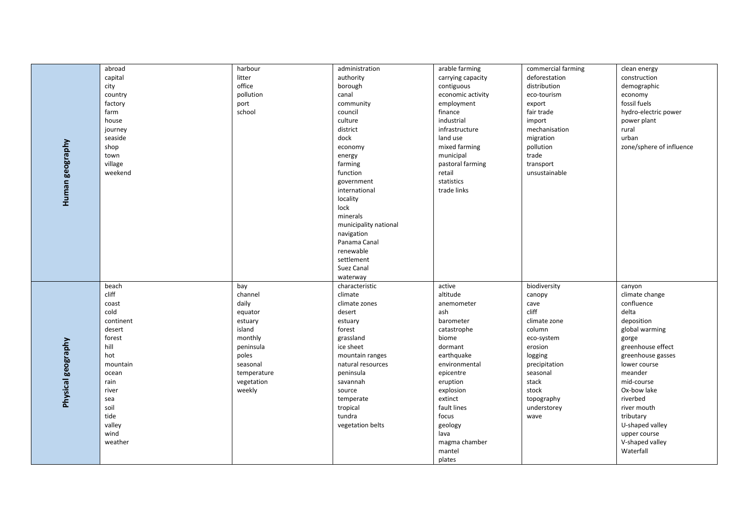|                    | abroad    | harbour     | administration        | arable farming    | commercial farming | clean energy             |
|--------------------|-----------|-------------|-----------------------|-------------------|--------------------|--------------------------|
| Human geography    | capital   | litter      | authority             | carrying capacity | deforestation      | construction             |
|                    | city      | office      | borough               | contiguous        | distribution       | demographic              |
|                    | country   | pollution   | canal                 | economic activity | eco-tourism        | economy                  |
|                    | factory   | port        | community             | employment        | export             | fossil fuels             |
|                    | farm      | school      | council               | finance           | fair trade         | hydro-electric power     |
|                    | house     |             | culture               | industrial        | import             | power plant              |
|                    | journey   |             | district              | infrastructure    | mechanisation      | rural                    |
|                    | seaside   |             |                       | land use          |                    | urban                    |
|                    |           |             | dock                  |                   | migration          | zone/sphere of influence |
|                    | shop      |             | economy               | mixed farming     | pollution          |                          |
|                    | town      |             | energy                | municipal         | trade              |                          |
|                    | village   |             | farming               | pastoral farming  | transport          |                          |
|                    | weekend   |             | function              | retail            | unsustainable      |                          |
|                    |           |             | government            | statistics        |                    |                          |
|                    |           |             | international         | trade links       |                    |                          |
|                    |           |             | locality              |                   |                    |                          |
|                    |           |             | lock                  |                   |                    |                          |
|                    |           |             | minerals              |                   |                    |                          |
|                    |           |             | municipality national |                   |                    |                          |
|                    |           |             | navigation            |                   |                    |                          |
|                    |           |             | Panama Canal          |                   |                    |                          |
|                    |           |             | renewable             |                   |                    |                          |
|                    |           |             | settlement            |                   |                    |                          |
|                    |           |             | Suez Canal            |                   |                    |                          |
|                    |           |             | waterway              |                   |                    |                          |
|                    | beach     | bay         | characteristic        | active            | biodiversity       | canyon                   |
|                    | cliff     | channel     | climate               | altitude          | canopy             | climate change           |
|                    | coast     | daily       | climate zones         | anemometer        | cave               | confluence               |
|                    | cold      | equator     | desert                | ash               | cliff              | delta                    |
|                    | continent | estuary     | estuary               | barometer         | climate zone       | deposition               |
|                    | desert    | island      | forest                | catastrophe       | column             | global warming           |
|                    | forest    | monthly     | grassland             | biome             | eco-system         | gorge                    |
| Physical geography | hill      | peninsula   | ice sheet             | dormant           | erosion            | greenhouse effect        |
|                    | hot       | poles       | mountain ranges       | earthquake        | logging            | greenhouse gasses        |
|                    | mountain  | seasonal    | natural resources     | environmental     | precipitation      | lower course             |
|                    | ocean     | temperature | peninsula             | epicentre         | seasonal           | meander                  |
|                    | rain      | vegetation  | savannah              | eruption          | stack              | mid-course               |
|                    | river     | weekly      | source                | explosion         | stock              | Ox-bow lake              |
|                    | sea       |             | temperate             | extinct           | topography         | riverbed                 |
|                    | soil      |             | tropical              | fault lines       | understorey        | river mouth              |
|                    | tide      |             | tundra                | focus             | wave               | tributary                |
|                    | valley    |             | vegetation belts      | geology           |                    | U-shaped valley          |
|                    | wind      |             |                       | lava              |                    | upper course             |
|                    | weather   |             |                       | magma chamber     |                    | V-shaped valley          |
|                    |           |             |                       | mantel            |                    | Waterfall                |
|                    |           |             |                       | plates            |                    |                          |